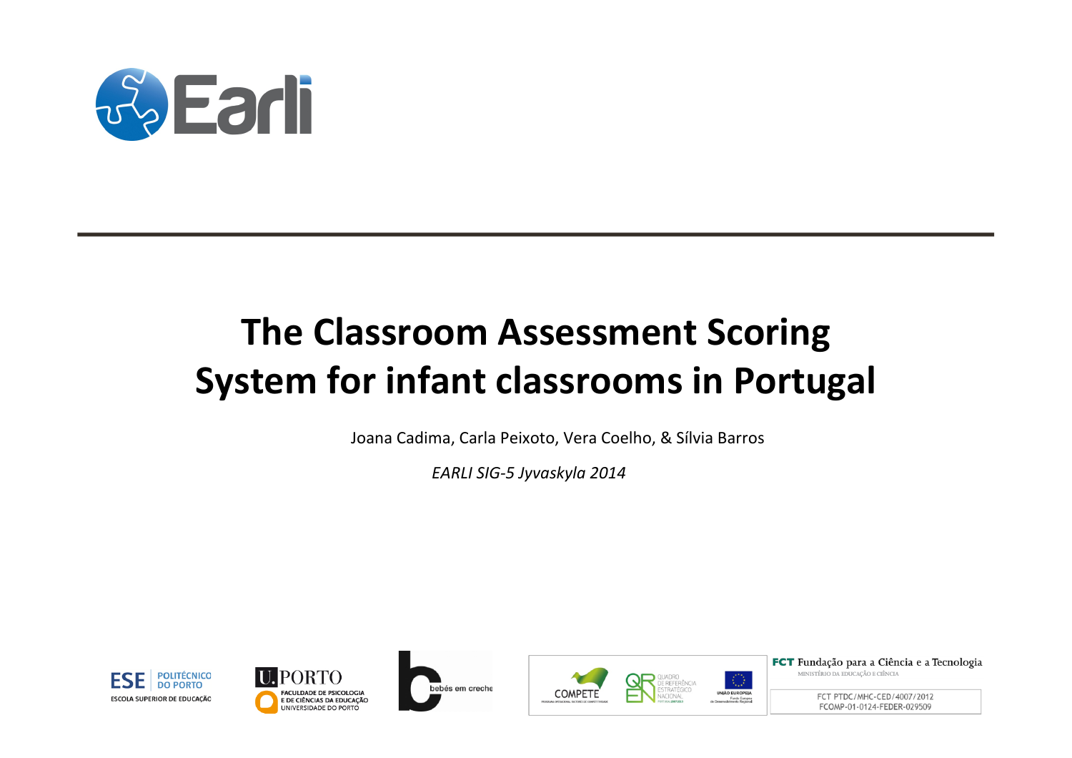

# **The Classroom Assessment Scoring System for infant classrooms in Portugal**

Joana Cadima, Carla Peixoto, Vera Coelho, & Sílvia Barros

EARLI SIG-5 Jyvaskyla 2014









FCT Fundação para a Ciência e a Tecnologia MINISTÉRIO DA EDUCAÇÃO E CIÊNCIA

> FCT PTDC/MHC-CED/4007/2012 FCOMP-01-0124-FEDER-029509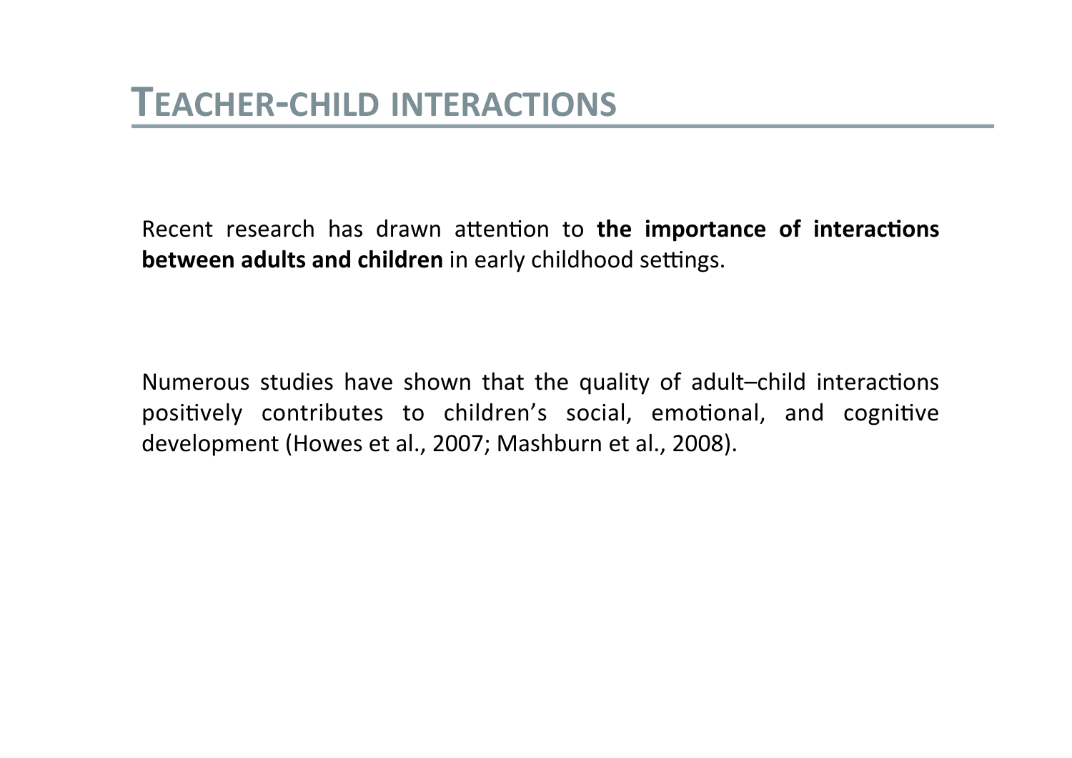Recent research has drawn attention to the importance of interactions between adults and children in early childhood settings.

Numerous studies have shown that the quality of adult-child interactions positively contributes to children's social, emotional, and cognitive development (Howes et al., 2007; Mashburn et al., 2008).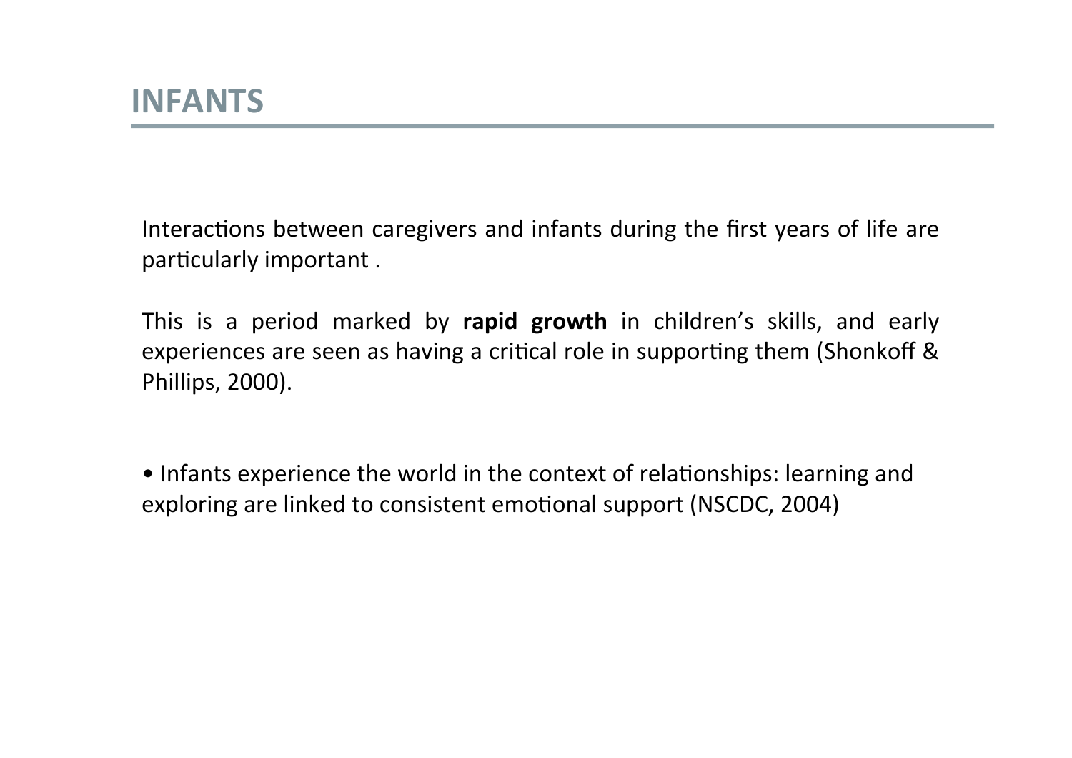Interactions between caregivers and infants during the first years of life are particularly important.

This is a period marked by rapid growth in children's skills, and early experiences are seen as having a critical role in supporting them (Shonkoff & Phillips, 2000).

• Infants experience the world in the context of relationships: learning and exploring are linked to consistent emotional support (NSCDC, 2004)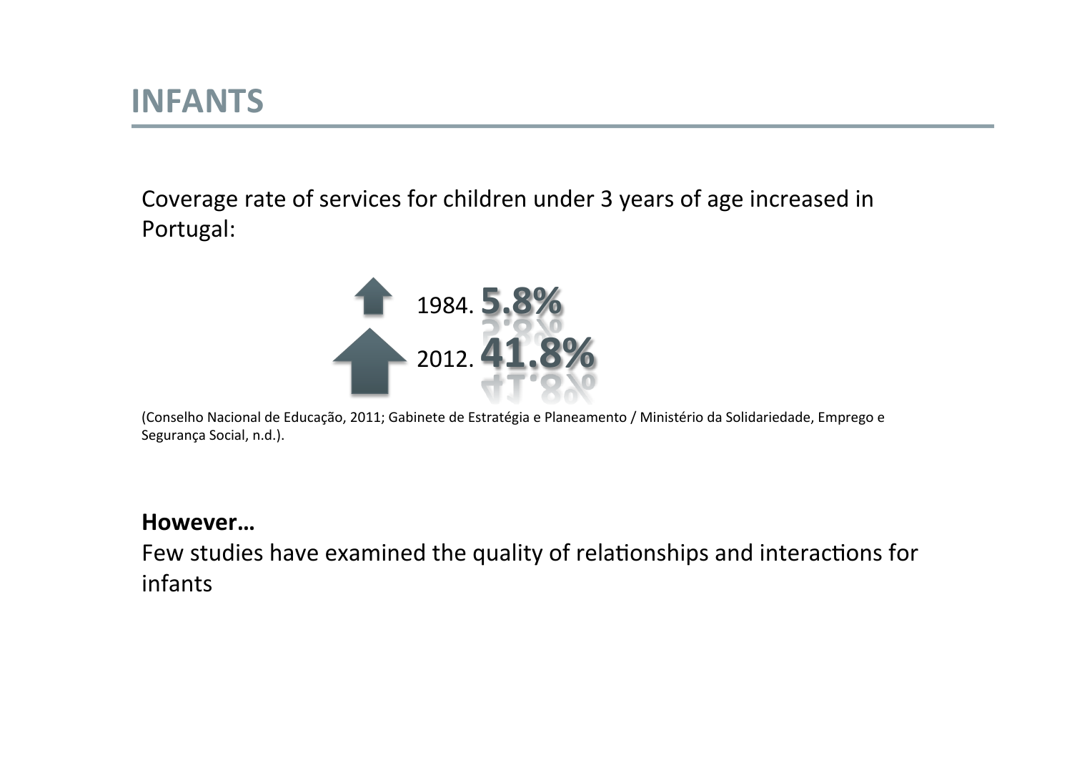Coverage rate of services for children under 3 years of age increased in Portugal:



(Conselho Nacional de Educação, 2011; Gabinete de Estratégia e Planeamento / Ministério da Solidariedade, Emprego e Segurança Social, n.d.).

#### **However…\$**

Few studies have examined the quality of relationships and interactions for infants!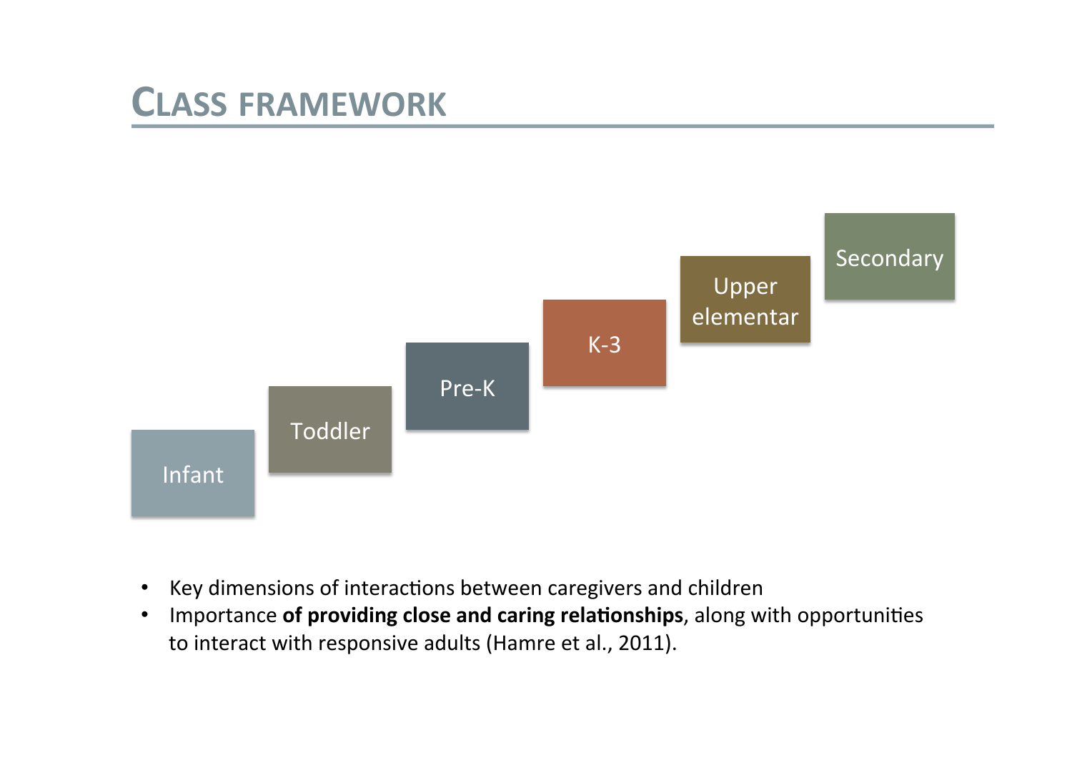### **CLASS FRAMEWORK**



- Key dimensions of interactions between caregivers and children  $\bullet$
- Importance of providing close and caring relationships, along with opportunities  $\bullet$ to interact with responsive adults (Hamre et al., 2011).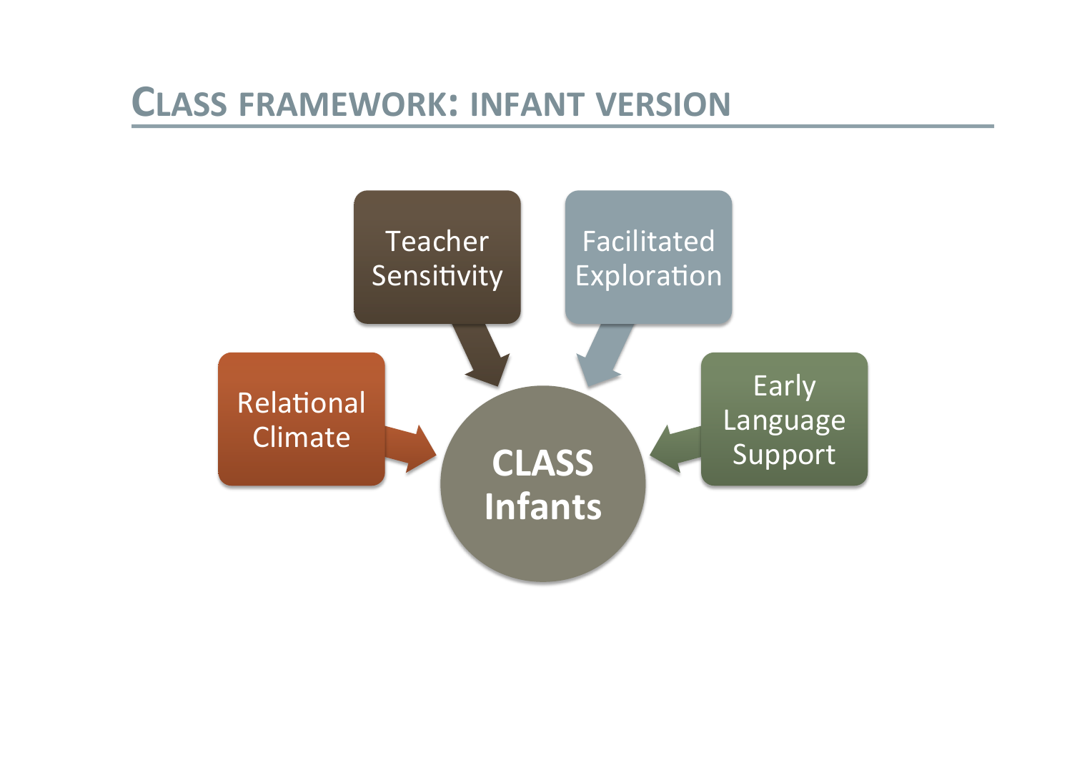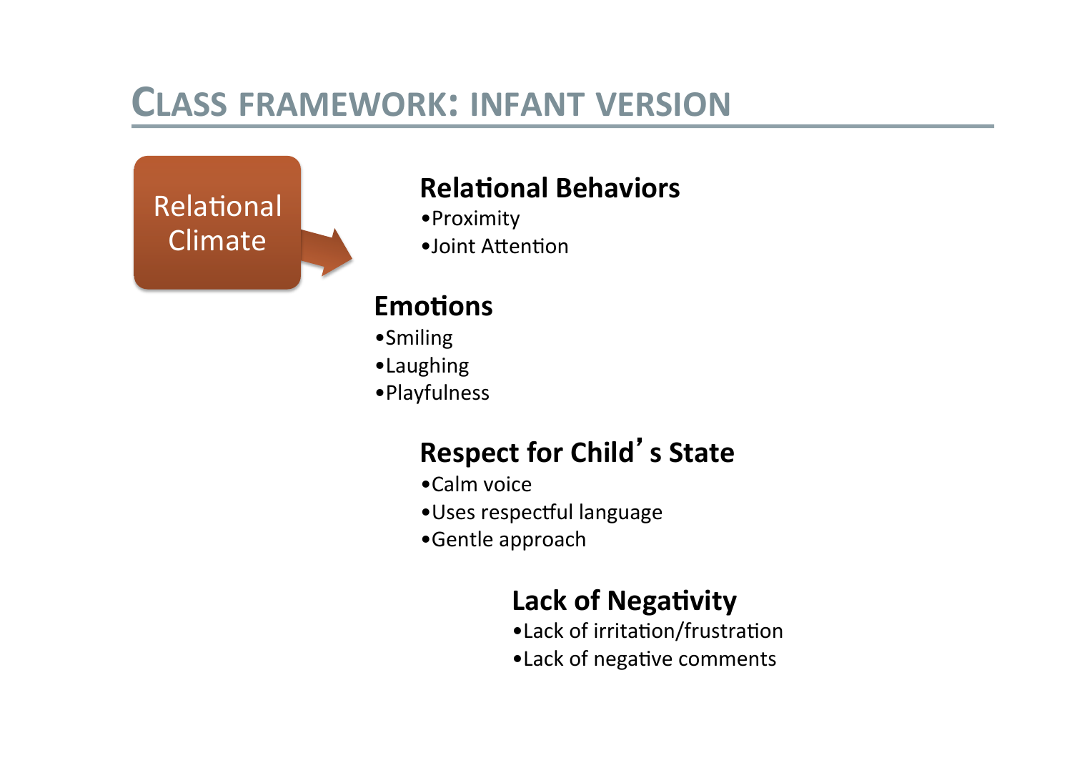

#### **Relational Behaviors**

- Proximity
- ·Joint Attention

#### **Emotions**

- •Smiling
- ·Laughing
- · Playfulness

### **Respect for Child's State**

- •Calm voice
- · Uses respectful language
- •Gentle approach

#### **Lack of Negativity**

- •Lack of irritation/frustration
- .Lack of negative comments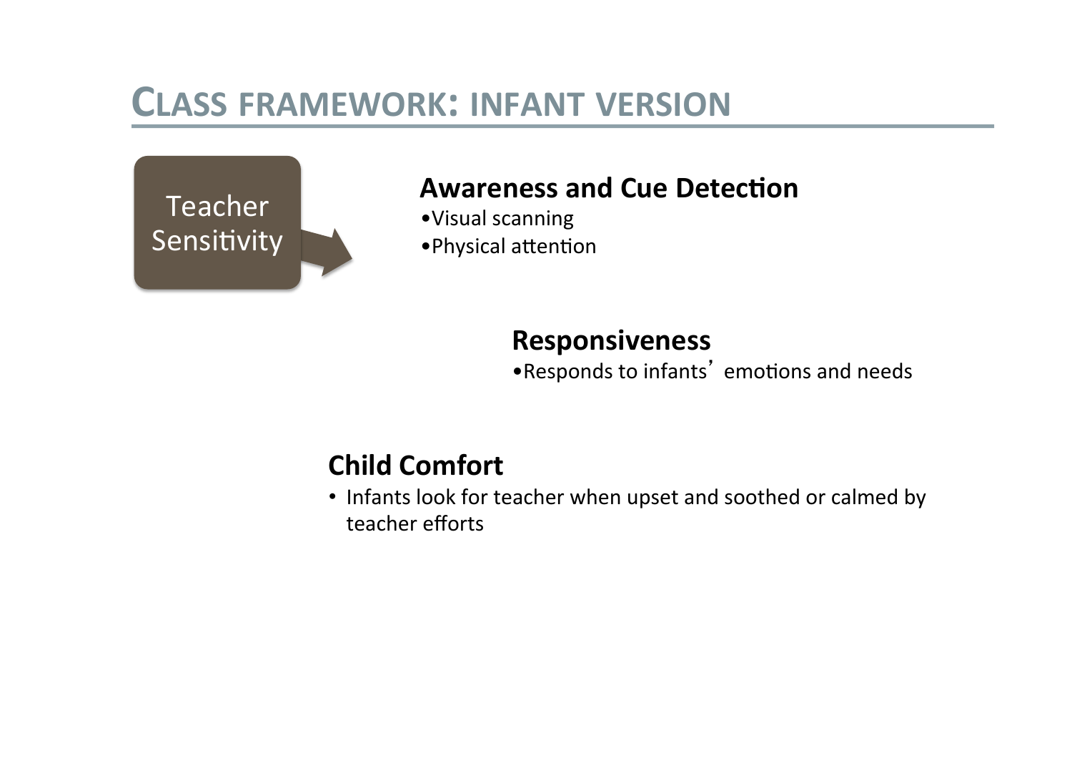

#### **Awareness and Cue Detection**

- · Visual scanning
- · Physical attention

#### **Responsiveness**

.Responds to infants' emotions and needs

### **Child Comfort**

• Infants look for teacher when upset and soothed or calmed by teacher efforts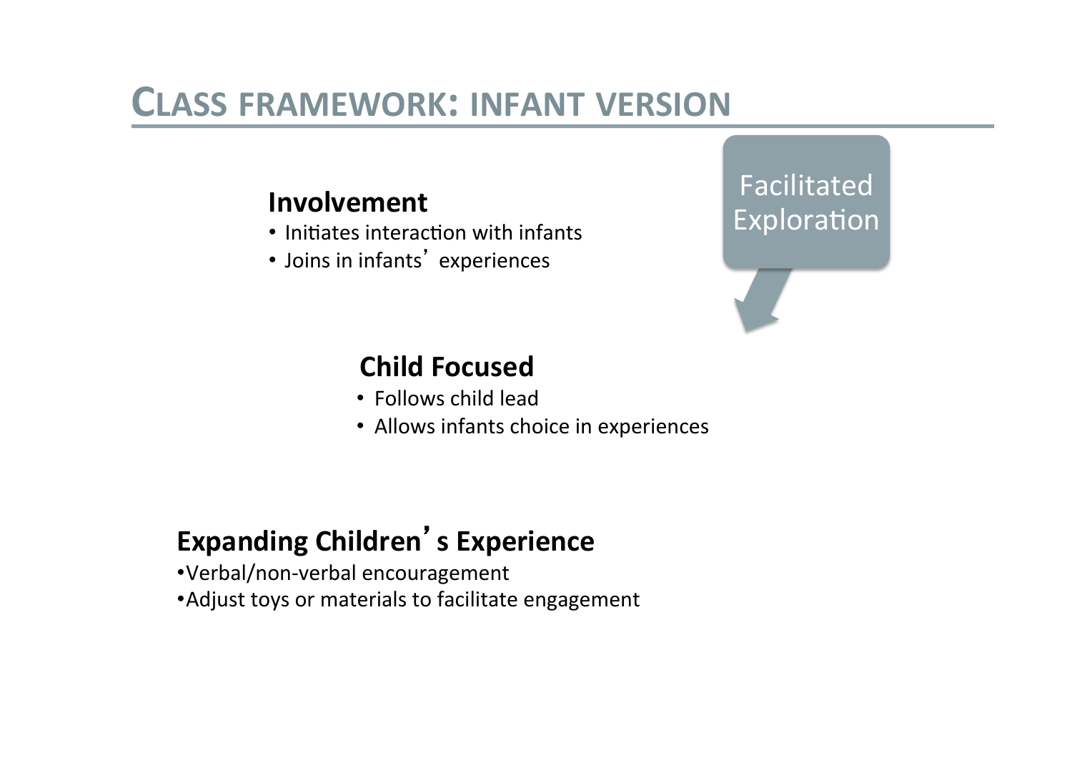#### Involvement

- . Initiates interaction with infants
- · Joins in infants' experiences

### Facilitated Exploration

### **Child Focused**

- Follows child lead
- Allows infants choice in experiences

### **Expanding Children's Experience**

- •Verbal/non-verbal encouragement
- Adjust toys or materials to facilitate engagement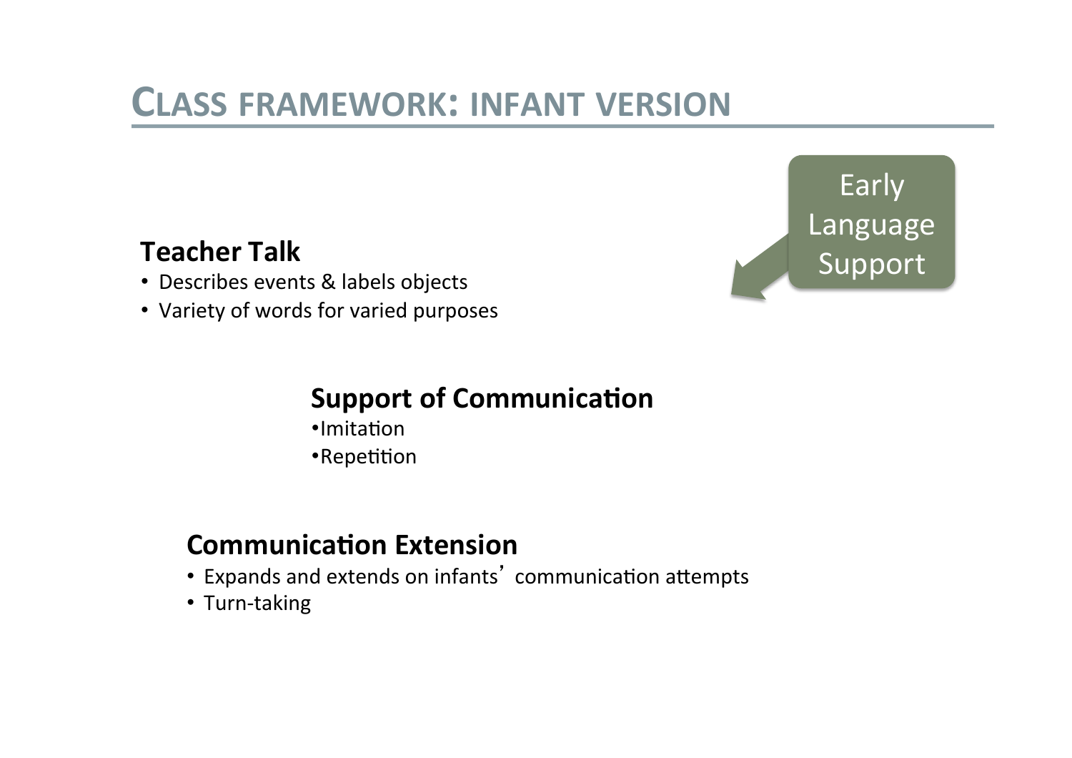

#### **Teacher Talk**

- Describes events & labels objects
- Variety of words for varied purposes

### **Support of Communication**

- ·Imitation
- •Repetition

#### **Communication Extension**

- Expands and extends on infants' communication attempts
- Turn-taking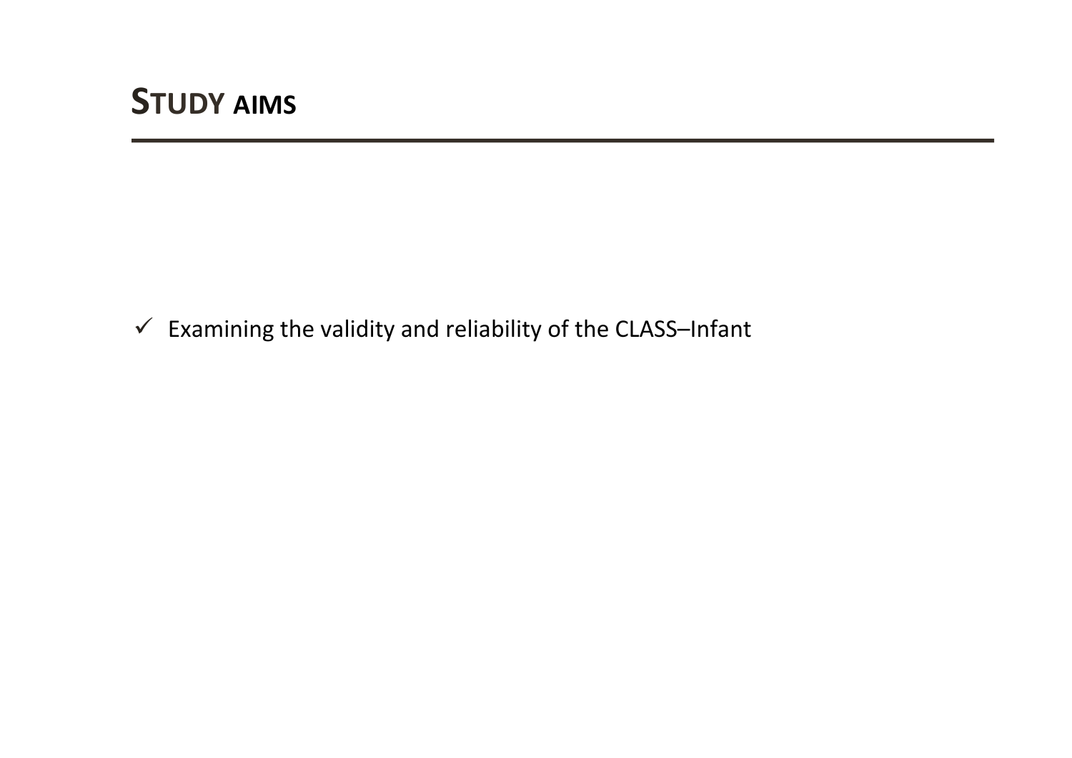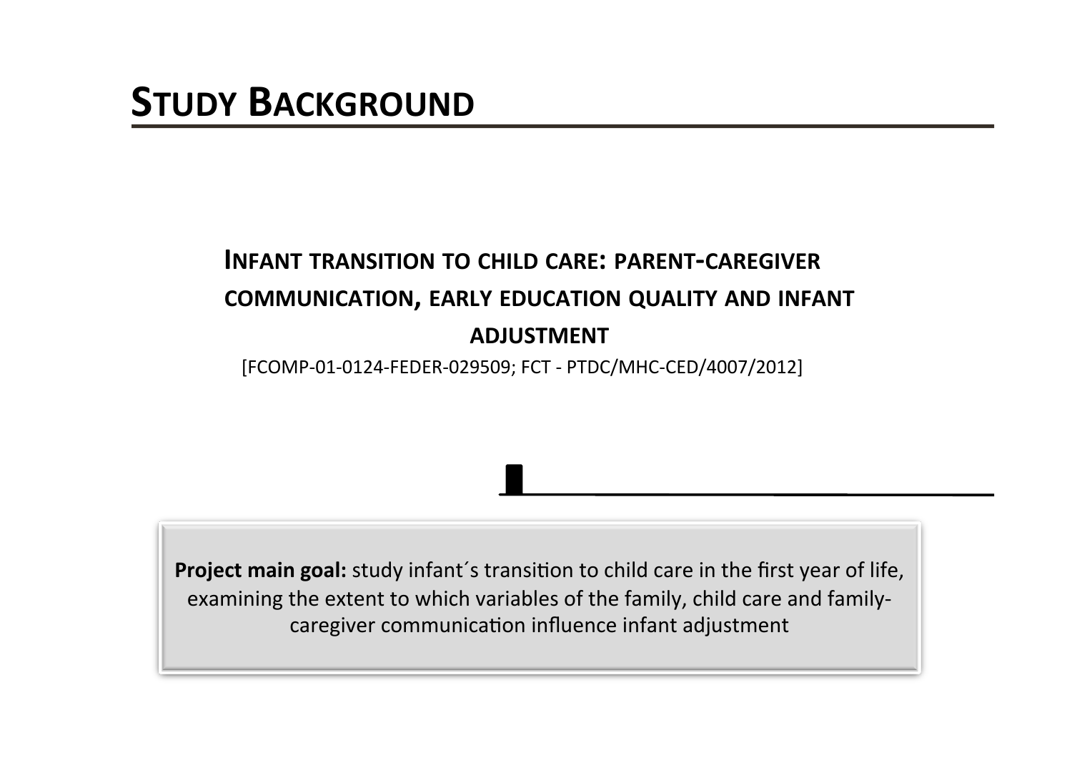### **INFANT TRANSITION TO CHILD CARE: PARENT-CAREGIVER COMMUNICATION, EARLY EDUCATION QUALITY AND INFANT ADJUSTMENT**

[FCOMP-01-0124-FEDER-029509; FCT - PTDC/MHC-CED/4007/2012]

Project main goal: study infant's transition to child care in the first year of life, examining the extent to which variables of the family, child care and familycaregiver communication influence infant adjustment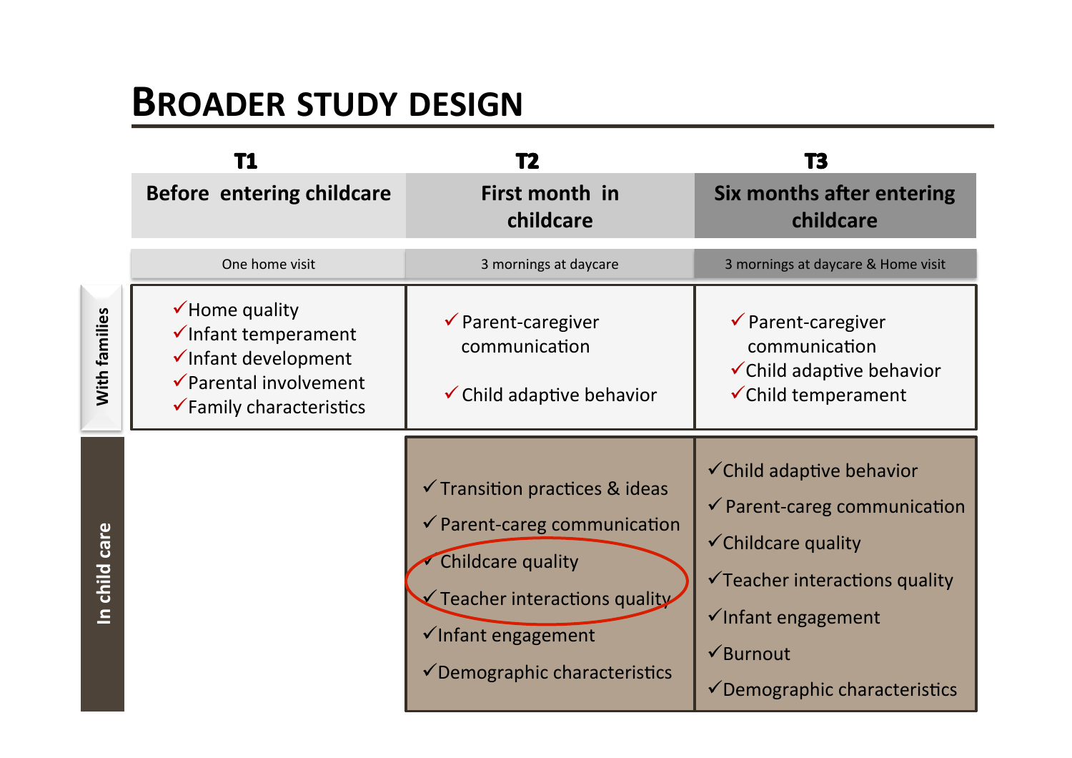## **BROADER STUDY DESIGN**

|               | <b>Before entering childcare</b>                                                                                                         | First month in<br>childcare                                                                                                                                                                                              | Six months after entering<br>childcare                                                                                                                                                                                                                           |
|---------------|------------------------------------------------------------------------------------------------------------------------------------------|--------------------------------------------------------------------------------------------------------------------------------------------------------------------------------------------------------------------------|------------------------------------------------------------------------------------------------------------------------------------------------------------------------------------------------------------------------------------------------------------------|
|               | One home visit                                                                                                                           | 3 mornings at daycare                                                                                                                                                                                                    | 3 mornings at daycare & Home visit                                                                                                                                                                                                                               |
| With families | $\checkmark$ Home quality<br>√Infant temperament<br>√Infant development<br>✔ Parental involvement<br>$\checkmark$ Family characteristics | $\checkmark$ Parent-caregiver<br>communication<br>$\checkmark$ Child adaptive behavior                                                                                                                                   | $\checkmark$ Parent-caregiver<br>communication<br>$\checkmark$ Child adaptive behavior<br><del></del> ∕Child temperament                                                                                                                                         |
| In child care |                                                                                                                                          | $\checkmark$ Transition practices & ideas<br>$\checkmark$ Parent-careg communication<br>Childcare quality<br>$\checkmark$ Teacher interactions quality<br>√Infant engagement<br>$\checkmark$ Demographic characteristics | $\checkmark$ Child adaptive behavior<br>$\checkmark$ Parent-careg communication<br>$\checkmark$ Childcare quality<br>$\checkmark$ Teacher interactions quality<br>√Infant engagement<br>$\sqrt{\frac{1}{2}}$ Burnout<br>$\checkmark$ Demographic characteristics |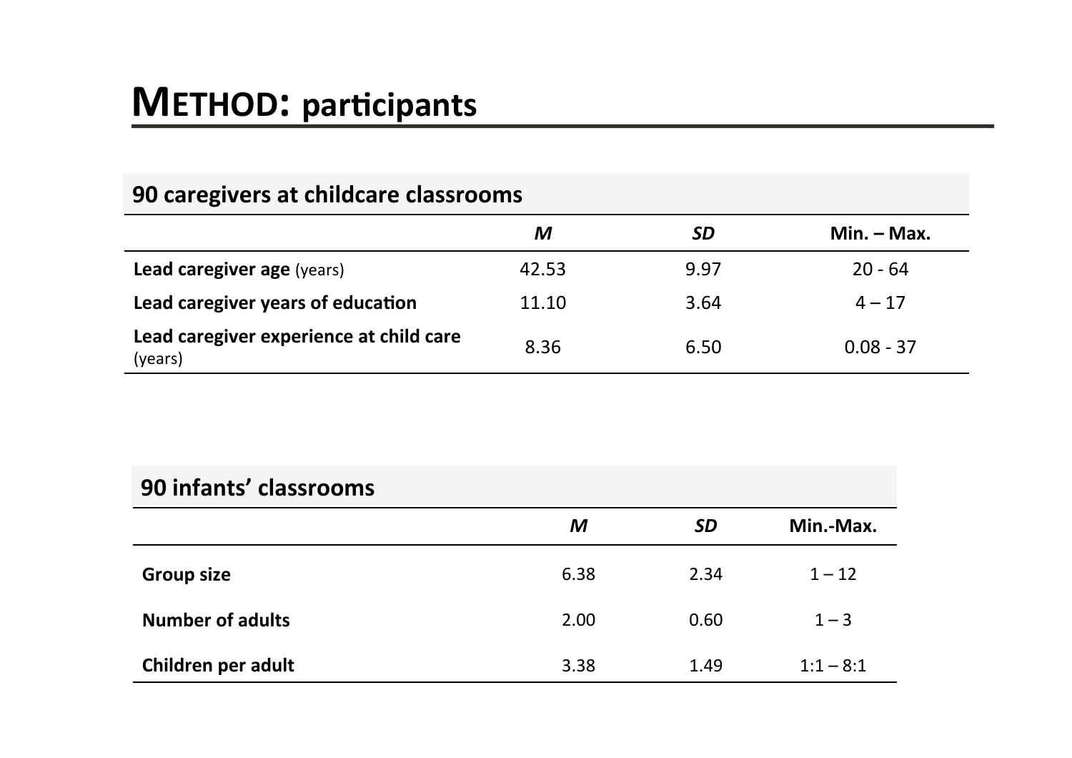# **METHOD: participants**

| 90 caregivers at childcare classrooms              |       |      |               |  |
|----------------------------------------------------|-------|------|---------------|--|
|                                                    | M     | SD   | $Min. - Max.$ |  |
| <b>Lead caregiver age (years)</b>                  | 42.53 | 9.97 | $20 - 64$     |  |
| Lead caregiver years of education                  | 11.10 | 3.64 | $4 - 17$      |  |
| Lead caregiver experience at child care<br>(years) | 8.36  | 6.50 | $0.08 - 37$   |  |

| 90 infants' classrooms  |      |           |             |
|-------------------------|------|-----------|-------------|
|                         | M    | <b>SD</b> | Min.-Max.   |
| <b>Group size</b>       | 6.38 | 2.34      | $1 - 12$    |
| <b>Number of adults</b> | 2.00 | 0.60      | $1 - 3$     |
| Children per adult      | 3.38 | 1.49      | $1:1 - 8:1$ |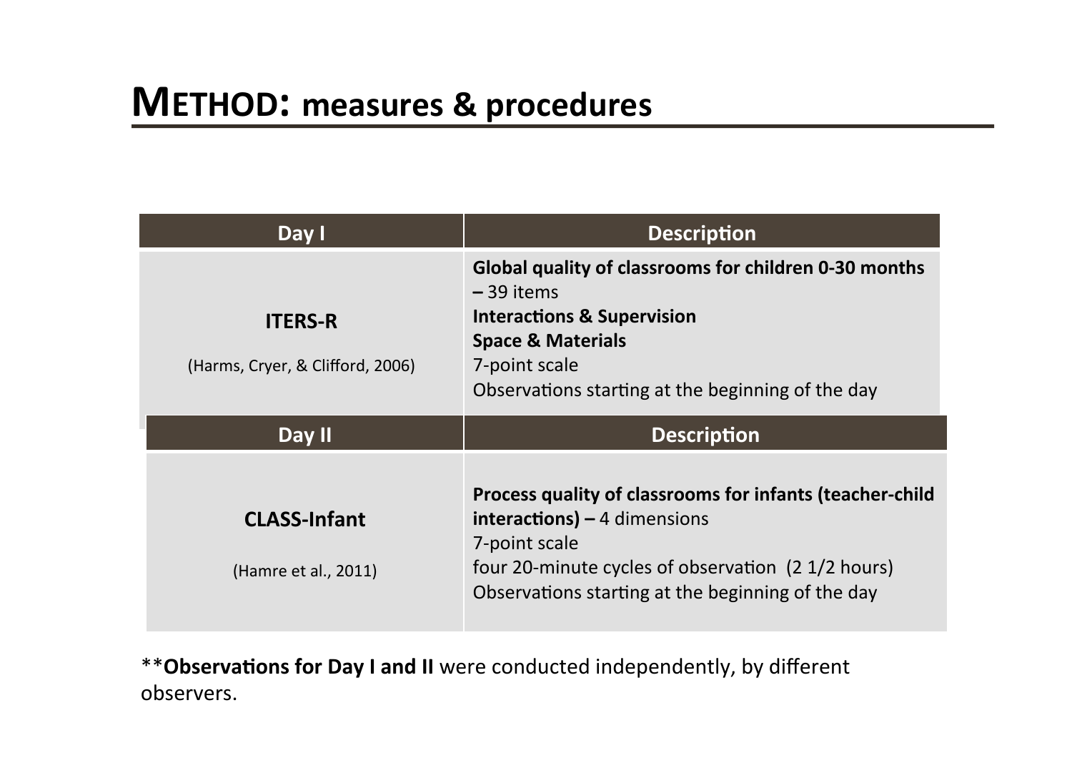| Day I                                              | <b>Description</b>                                                                                                                                                                                                  |
|----------------------------------------------------|---------------------------------------------------------------------------------------------------------------------------------------------------------------------------------------------------------------------|
| <b>ITERS-R</b><br>(Harms, Cryer, & Clifford, 2006) | Global quality of classrooms for children 0-30 months<br>$-39$ items<br><b>Interactions &amp; Supervision</b><br><b>Space &amp; Materials</b><br>7-point scale<br>Observations starting at the beginning of the day |
| Day II                                             | <b>Description</b>                                                                                                                                                                                                  |
|                                                    |                                                                                                                                                                                                                     |

\*\* Observations for Day I and II were conducted independently, by different observers.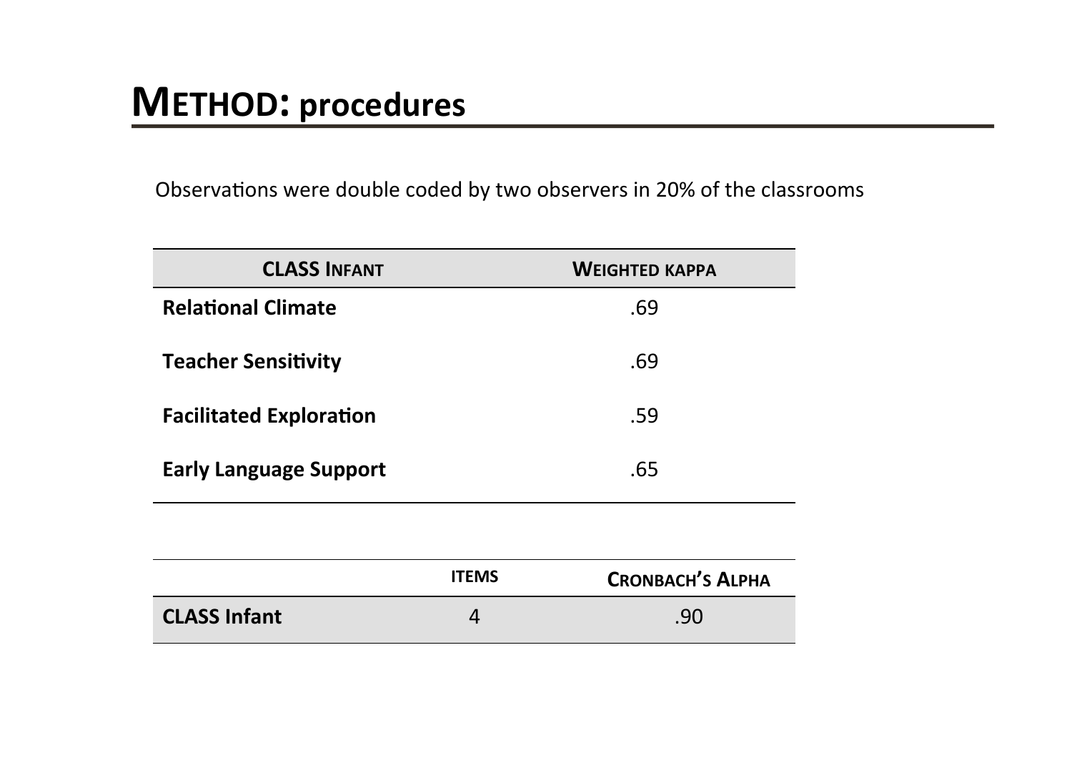Observations were double coded by two observers in 20% of the classrooms

| <b>CLASS INFANT</b>            |              | <b>WEIGHTED KAPPA</b>   |
|--------------------------------|--------------|-------------------------|
| <b>Relational Climate</b>      |              | .69                     |
| <b>Teacher Sensitivity</b>     |              | .69                     |
| <b>Facilitated Exploration</b> |              | .59                     |
| <b>Early Language Support</b>  |              | .65                     |
|                                |              |                         |
|                                | <b>ITEMS</b> | <b>CRONBACH'S ALPHA</b> |
| <b>CLASS Infant</b>            | 4            | .90                     |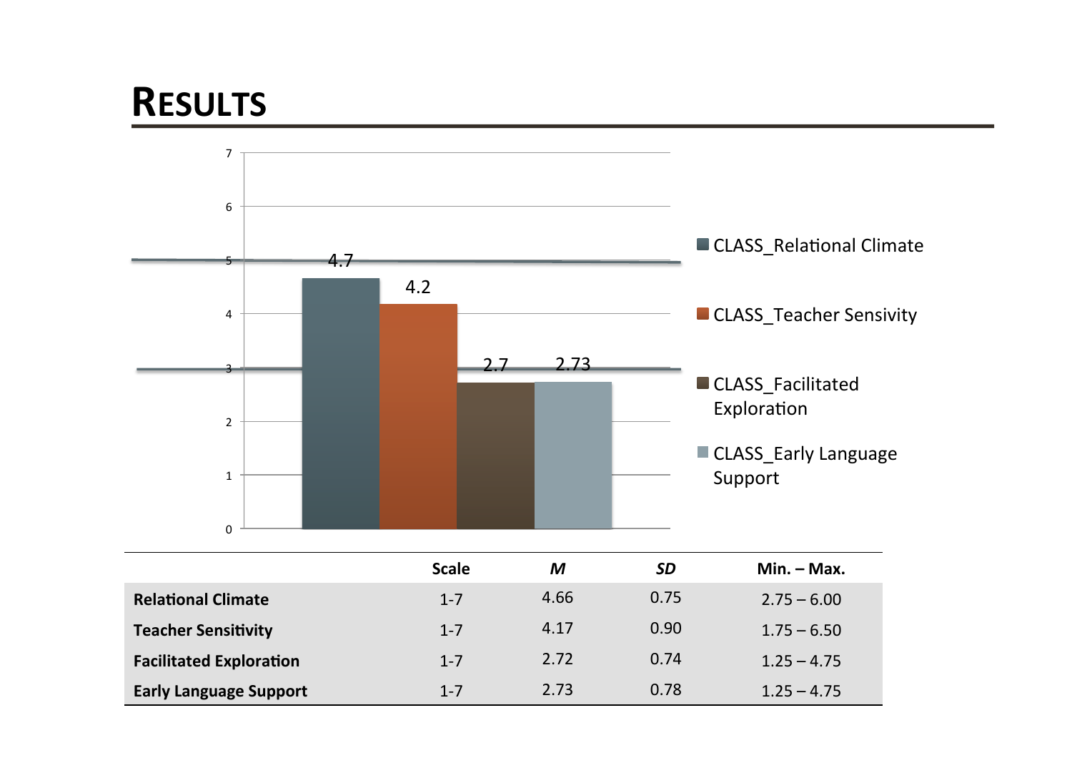# **RESULTS**

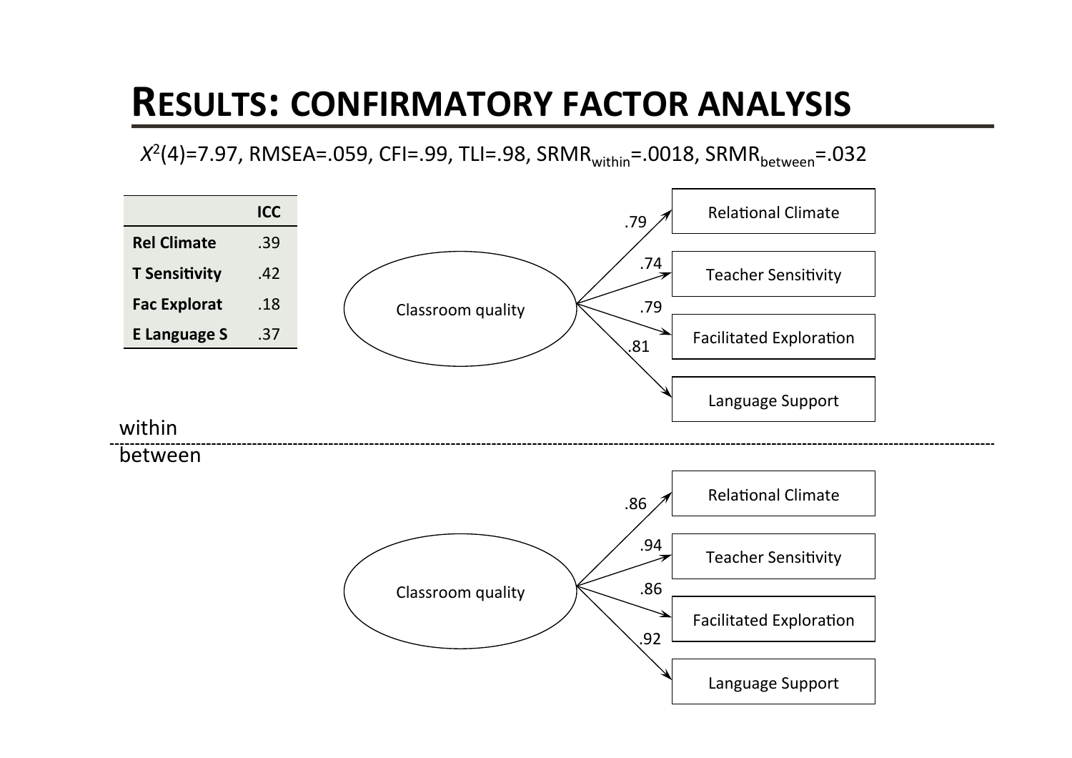## **RESULTS: CONFIRMATORY FACTOR ANALYSIS**

 $X^2(4)$ =7.97, RMSEA=.059, CFI=.99, TLI=.98, SRMR<sub>within</sub>=.0018, SRMR<sub>between</sub>=.032

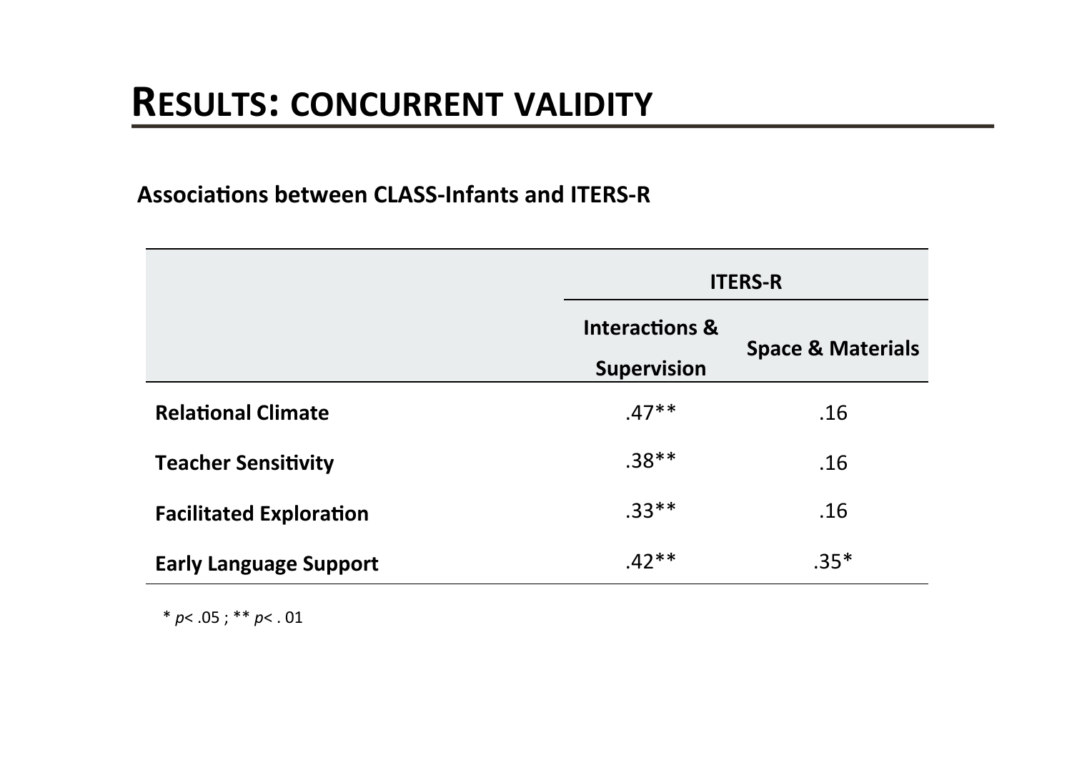#### **Associations between CLASS-Infants and ITERS-R**

|                                | <b>ITERS-R</b>                                  |                              |  |
|--------------------------------|-------------------------------------------------|------------------------------|--|
|                                | <b>Interactions &amp;</b><br><b>Supervision</b> | <b>Space &amp; Materials</b> |  |
| <b>Relational Climate</b>      | $.47**$                                         | .16                          |  |
| <b>Teacher Sensitivity</b>     | $.38**$                                         | .16                          |  |
| <b>Facilitated Exploration</b> | $.33**$                                         | .16                          |  |
| <b>Early Language Support</b>  | $.42**$                                         | $.35*$                       |  |

\*  $p$  < .05 ; \*\*  $p$  < .01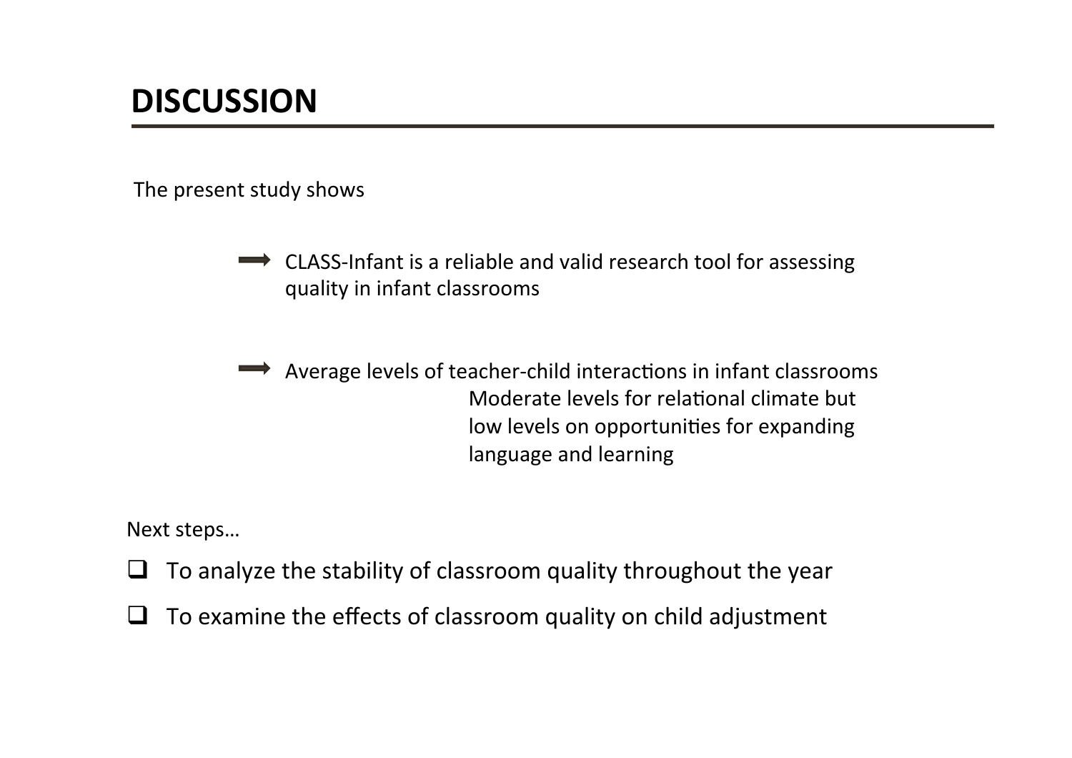The present study shows

- CLASS-Infant is a reliable and valid research tool for assessing quality in infant classrooms
- Average levels of teacher-child interactions in infant classrooms Moderate levels for relational climate but low levels on opportunities for expanding language and learning

Next steps...

- $\Box$  To analyze the stability of classroom quality throughout the year
- $\Box$  To examine the effects of classroom quality on child adjustment